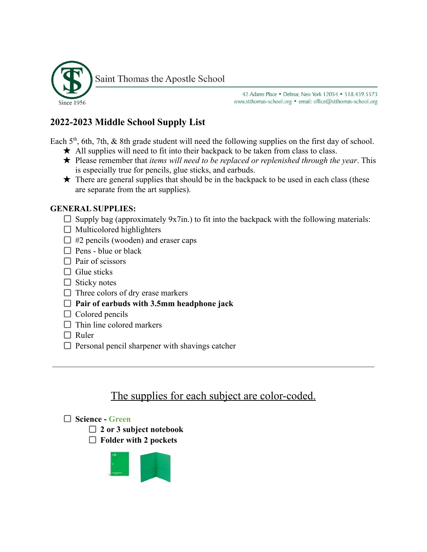

42 Adams Place . Delmar, New York 12054 . 518.439.5573 www.stthomas-school.org · email: office@stthomas-school.org

## **2022-2023 Middle School Supply List**

Each  $5<sup>th</sup>$ , 6th, 7th, & 8th grade student will need the following supplies on the first day of school.

- $\star$  All supplies will need to fit into their backpack to be taken from class to class.
- ★ Please remember that *items will need to be replaced or replenished through the year*. This is especially true for pencils, glue sticks, and earbuds.
- $\star$  There are general supplies that should be in the backpack to be used in each class (these are separate from the art supplies).

## **GENERAL SUPPLIES:**

- $\Box$  Supply bag (approximately 9x7in.) to fit into the backpack with the following materials:
- $\Box$  Multicolored highlighters
- $\Box$  #2 pencils (wooden) and eraser caps
- $\Box$  Pens blue or black
- $\Box$  Pair of scissors
- $\Box$  Glue sticks
- $\Box$  Sticky notes
- $\Box$  Three colors of dry erase markers
- **Pair of earbuds with 3.5mm headphone jack**
- $\Box$  Colored pencils
- $\Box$  Thin line colored markers
- $\Box$  Ruler
- $\Box$  Personal pencil sharpener with shavings catcher

# The supplies for each subject are color-coded.

## **Science - Green**

- **2 or 3 subject notebook**
- **Folder with 2 pockets**

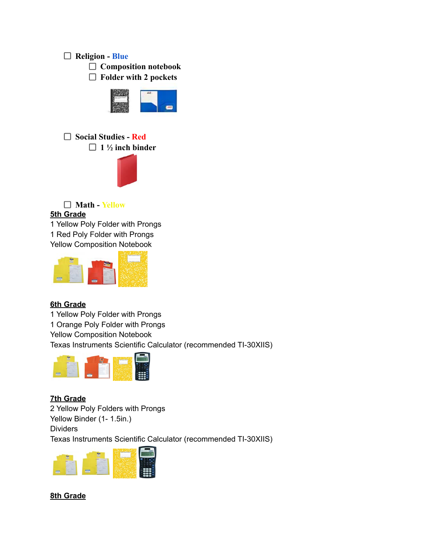#### **Religion - Blue**

**Composition notebook**

**Folder with 2 pockets**



**Social Studies - Red 1 ½ inch binder**



**Math - Yellow 5th Grade**

1 Yellow Poly Folder with Prongs 1 Red Poly Folder with Prongs Yellow Composition Notebook



#### **6th Grade**

1 Yellow Poly Folder with Prongs

1 Orange Poly Folder with Prongs

Yellow Composition Notebook

Texas Instruments Scientific Calculator (recommended TI-30XIIS)



**7th Grade** 2 Yellow Poly Folders with Prongs Yellow Binder (1- 1.5in.) **Dividers** Texas Instruments Scientific Calculator (recommended TI-30XIIS)



#### **8th Grade**